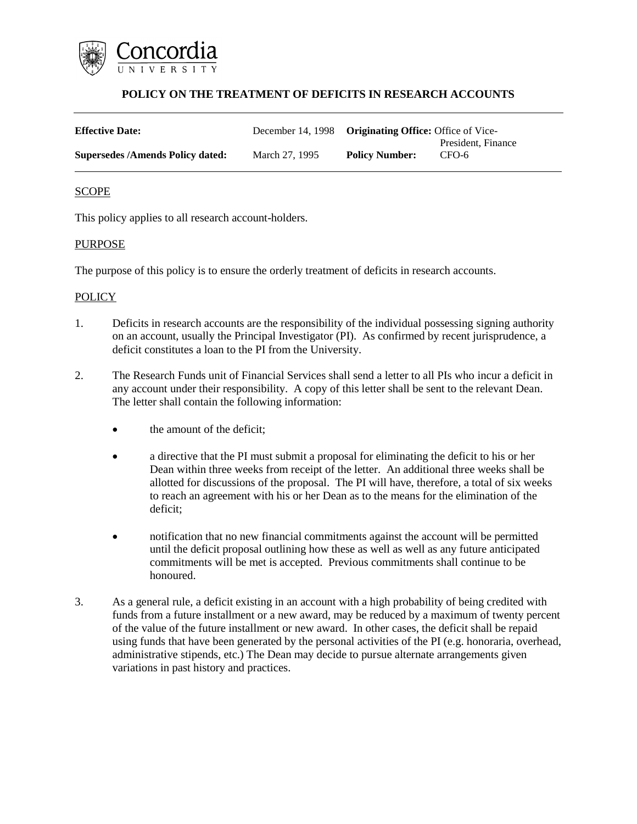

## **POLICY ON THE TREATMENT OF DEFICITS IN RESEARCH ACCOUNTS**

| <b>Effective Date:</b>                  |                | December 14, 1998 Originating Office: Office of Vice- |                             |
|-----------------------------------------|----------------|-------------------------------------------------------|-----------------------------|
| <b>Supersedes /Amends Policy dated:</b> | March 27, 1995 | <b>Policy Number:</b>                                 | President, Finance<br>CFO-6 |

## **SCOPE**

This policy applies to all research account-holders.

#### PURPOSE

The purpose of this policy is to ensure the orderly treatment of deficits in research accounts.

## **POLICY**

- 1. Deficits in research accounts are the responsibility of the individual possessing signing authority on an account, usually the Principal Investigator (PI). As confirmed by recent jurisprudence, a deficit constitutes a loan to the PI from the University.
- 2. The Research Funds unit of Financial Services shall send a letter to all PIs who incur a deficit in any account under their responsibility. A copy of this letter shall be sent to the relevant Dean. The letter shall contain the following information:
	- the amount of the deficit;
	- a directive that the PI must submit a proposal for eliminating the deficit to his or her Dean within three weeks from receipt of the letter. An additional three weeks shall be allotted for discussions of the proposal. The PI will have, therefore, a total of six weeks to reach an agreement with his or her Dean as to the means for the elimination of the deficit;
	- notification that no new financial commitments against the account will be permitted until the deficit proposal outlining how these as well as well as any future anticipated commitments will be met is accepted. Previous commitments shall continue to be honoured.
- 3. As a general rule, a deficit existing in an account with a high probability of being credited with funds from a future installment or a new award, may be reduced by a maximum of twenty percent of the value of the future installment or new award. In other cases, the deficit shall be repaid using funds that have been generated by the personal activities of the PI (e.g. honoraria, overhead, administrative stipends, etc.) The Dean may decide to pursue alternate arrangements given variations in past history and practices.